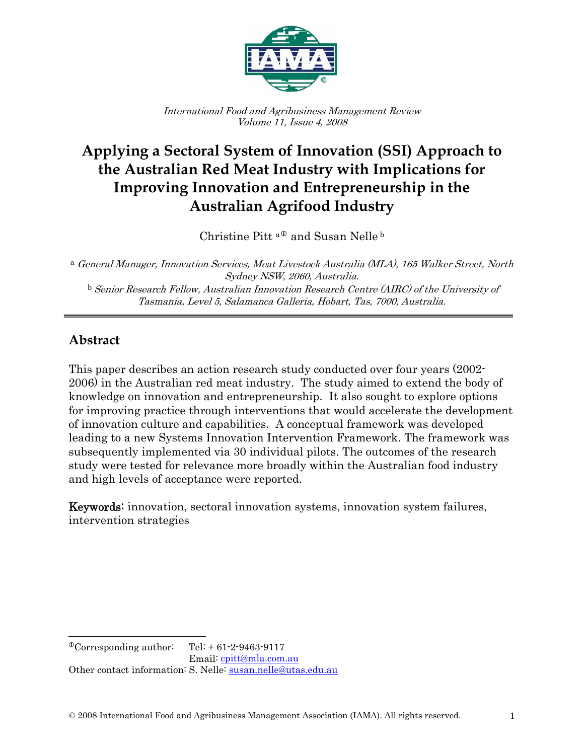

International Food and Agribusiness Management Review Volume 11, Issue 4, 2008

# **Applying a Sectoral System of Innovation (SSI) Approach to the Australian Red Meat Industry with Implications for Improving Innovation and Entrepreneurship in the Australian Agrifood Industry**

Christine Pitt<sup>a®</sup> and Susan Nelle<sup>b</sup>

<sup>a</sup> General Manager, Innovation Services, Meat Livestock Australia (MLA), 165 Walker Street, North Sydney NSW, 2060, Australia.

 $^{\rm b}$  Senior Research Fellow, Australian Innovation Research Centre (AIRC) of the University of Tasmania, Level 5, Salamanca Galleria, Hobart, Tas, 7000, Australia.

### **Abstract**

 $\overline{\phantom{a}}$ 

This paper describes an action research study conducted over four years (2002- 2006) in the Australian red meat industry. The study aimed to extend the body of knowledge on innovation and entrepreneurship. It also sought to explore options for improving practice through interventions that would accelerate the development of innovation culture and capabilities. A conceptual framework was developed leading to a new Systems Innovation Intervention Framework. The framework was subsequently implemented via 30 individual pilots. The outcomes of the research study were tested for relevance more broadly within the Australian food industry and high levels of acceptance were reported.

Keywords: innovation, sectoral innovation systems, innovation system failures, intervention strategies

<span id="page-0-0"></span> $^{\circ}$ Corresponding author: Tel: + 61-2-9463-9117 Email: [cpitt@mla.com.au](mailto:cpitt@mla.com.au) Other contact information: S. Nelle: [susan.nelle@utas.edu.au](mailto:susan.nelle@utas.edu.au)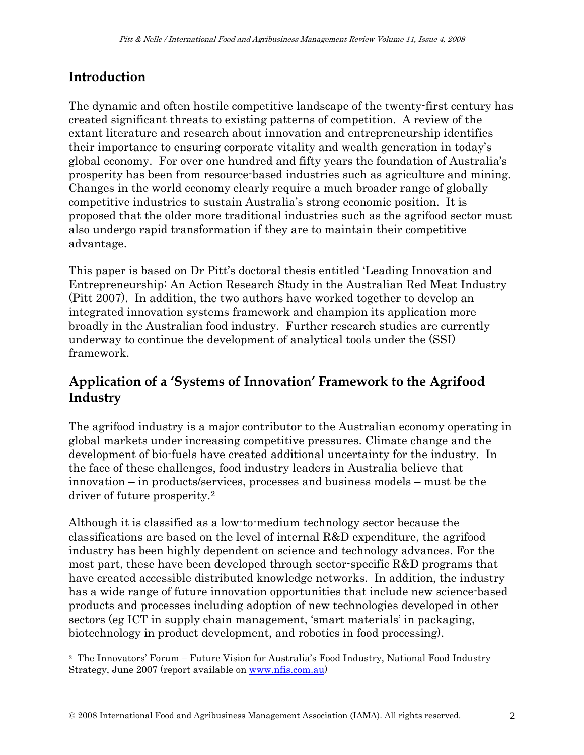## **Introduction**

 $\overline{\phantom{a}}$ 

The dynamic and often hostile competitive landscape of the twenty-first century has created significant threats to existing patterns of competition. A review of the extant literature and research about innovation and entrepreneurship identifies their importance to ensuring corporate vitality and wealth generation in today's global economy. For over one hundred and fifty years the foundation of Australia's prosperity has been from resource-based industries such as agriculture and mining. Changes in the world economy clearly require a much broader range of globally competitive industries to sustain Australia's strong economic position. It is proposed that the older more traditional industries such as the agrifood sector must also undergo rapid transformation if they are to maintain their competitive advantage.

This paper is based on Dr Pitt's doctoral thesis entitled 'Leading Innovation and Entrepreneurship: An Action Research Study in the Australian Red Meat Industry (Pitt 2007). In addition, the two authors have worked together to develop an integrated innovation systems framework and champion its application more broadly in the Australian food industry. Further research studies are currently underway to continue the development of analytical tools under the (SSI) framework.

### **Application of a 'Systems of Innovation' Framework to the Agrifood Industry**

The agrifood industry is a major contributor to the Australian economy operating in global markets under increasing competitive pressures. Climate change and the development of bio-fuels have created additional uncertainty for the industry. In the face of these challenges, food industry leaders in Australia believe that innovation – in products/services, processes and business models – must be the driver of future prosperity.[2](#page-1-0)

Although it is classified as a low-to-medium technology sector because the classifications are based on the level of internal R&D expenditure, the agrifood industry has been highly dependent on science and technology advances. For the most part, these have been developed through sector-specific R&D programs that have created accessible distributed knowledge networks. In addition, the industry has a wide range of future innovation opportunities that include new science-based products and processes including adoption of new technologies developed in other sectors (eg ICT in supply chain management, 'smart materials' in packaging, biotechnology in product development, and robotics in food processing).

<span id="page-1-0"></span><sup>2</sup> The Innovators' Forum – Future Vision for Australia's Food Industry, National Food Industry Strategy, June 2007 (report available on [www.nfis.com.au](http://www.nfis.com.au/))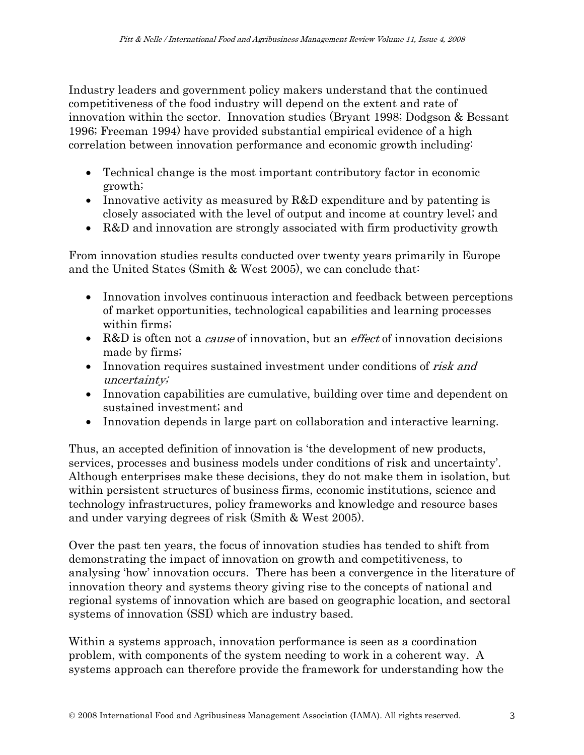Industry leaders and government policy makers understand that the continued competitiveness of the food industry will depend on the extent and rate of innovation within the sector. Innovation studies (Bryant 1998; Dodgson & Bessant 1996; Freeman 1994) have provided substantial empirical evidence of a high correlation between innovation performance and economic growth including:

- Technical change is the most important contributory factor in economic growth;
- Innovative activity as measured by R&D expenditure and by patenting is closely associated with the level of output and income at country level; and
- R&D and innovation are strongly associated with firm productivity growth

From innovation studies results conducted over twenty years primarily in Europe and the United States (Smith & West 2005), we can conclude that:

- Innovation involves continuous interaction and feedback between perceptions of market opportunities, technological capabilities and learning processes within firms;
- R&D is often not a *cause* of innovation, but an *effect* of innovation decisions made by firms;
- Innovation requires sustained investment under conditions of risk and uncertainty;
- Innovation capabilities are cumulative, building over time and dependent on sustained investment; and
- Innovation depends in large part on collaboration and interactive learning.

Thus, an accepted definition of innovation is 'the development of new products, services, processes and business models under conditions of risk and uncertainty'. Although enterprises make these decisions, they do not make them in isolation, but within persistent structures of business firms, economic institutions, science and technology infrastructures, policy frameworks and knowledge and resource bases and under varying degrees of risk (Smith & West 2005).

Over the past ten years, the focus of innovation studies has tended to shift from demonstrating the impact of innovation on growth and competitiveness, to analysing 'how' innovation occurs. There has been a convergence in the literature of innovation theory and systems theory giving rise to the concepts of national and regional systems of innovation which are based on geographic location, and sectoral systems of innovation (SSI) which are industry based.

Within a systems approach, innovation performance is seen as a coordination problem, with components of the system needing to work in a coherent way. A systems approach can therefore provide the framework for understanding how the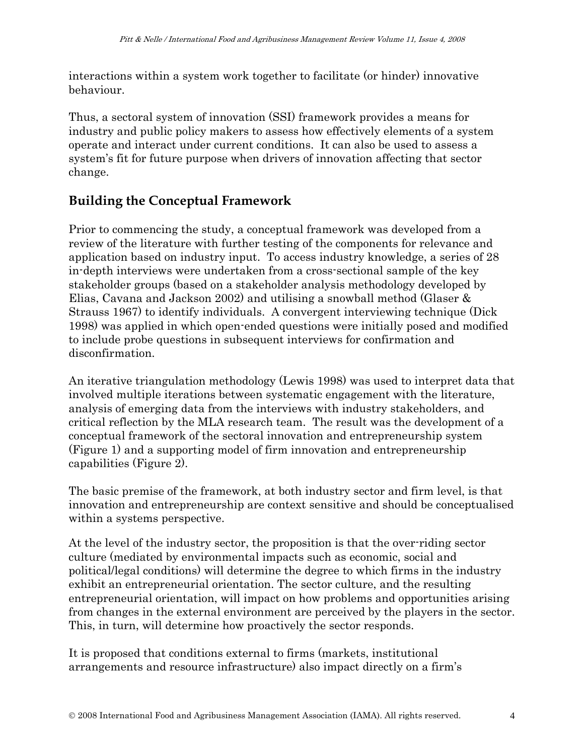interactions within a system work together to facilitate (or hinder) innovative behaviour.

Thus, a sectoral system of innovation (SSI) framework provides a means for industry and public policy makers to assess how effectively elements of a system operate and interact under current conditions. It can also be used to assess a system's fit for future purpose when drivers of innovation affecting that sector change.

## **Building the Conceptual Framework**

Prior to commencing the study, a conceptual framework was developed from a review of the literature with further testing of the components for relevance and application based on industry input. To access industry knowledge, a series of 28 in-depth interviews were undertaken from a cross-sectional sample of the key stakeholder groups (based on a stakeholder analysis methodology developed by Elias, Cavana and Jackson 2002) and utilising a snowball method (Glaser & Strauss 1967) to identify individuals. A convergent interviewing technique (Dick 1998) was applied in which open-ended questions were initially posed and modified to include probe questions in subsequent interviews for confirmation and disconfirmation.

An iterative triangulation methodology (Lewis 1998) was used to interpret data that involved multiple iterations between systematic engagement with the literature, analysis of emerging data from the interviews with industry stakeholders, and critical reflection by the MLA research team. The result was the development of a conceptual framework of the sectoral innovation and entrepreneurship system (Figure 1) and a supporting model of firm innovation and entrepreneurship capabilities (Figure 2).

The basic premise of the framework, at both industry sector and firm level, is that innovation and entrepreneurship are context sensitive and should be conceptualised within a systems perspective.

At the level of the industry sector, the proposition is that the over-riding sector culture (mediated by environmental impacts such as economic, social and political/legal conditions) will determine the degree to which firms in the industry exhibit an entrepreneurial orientation. The sector culture, and the resulting entrepreneurial orientation, will impact on how problems and opportunities arising from changes in the external environment are perceived by the players in the sector. This, in turn, will determine how proactively the sector responds.

It is proposed that conditions external to firms (markets, institutional arrangements and resource infrastructure) also impact directly on a firm's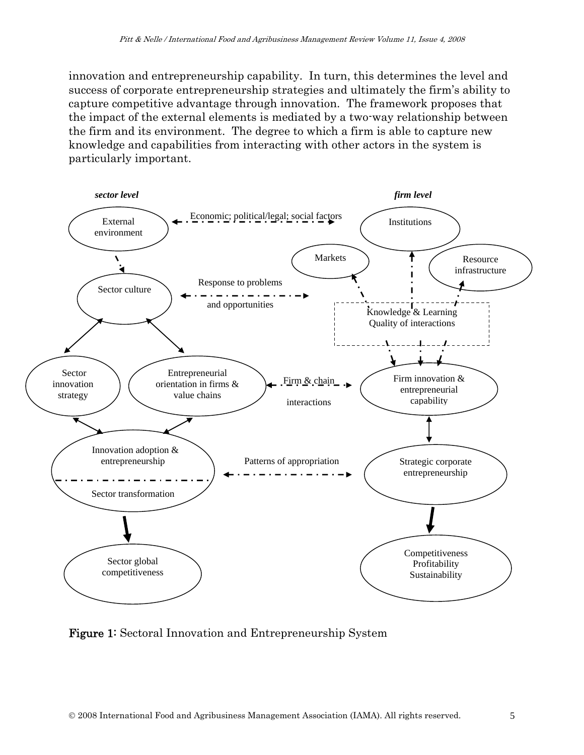innovation and entrepreneurship capability. In turn, this determines the level and success of corporate entrepreneurship strategies and ultimately the firm's ability to capture competitive advantage through innovation. The framework proposes that the impact of the external elements is mediated by a two-way relationship between the firm and its environment. The degree to which a firm is able to capture new knowledge and capabilities from interacting with other actors in the system is particularly important.



Figure 1: Sectoral Innovation and Entrepreneurship System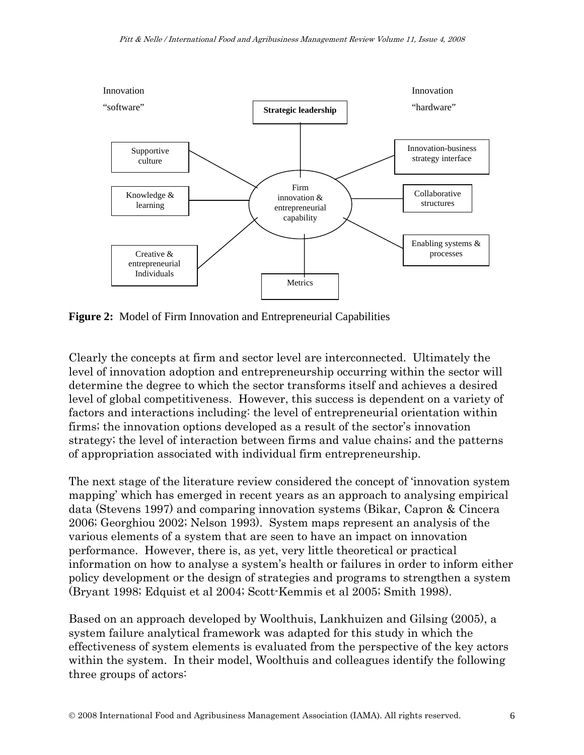

**Figure 2:** Model of Firm Innovation and Entrepreneurial Capabilities

Clearly the concepts at firm and sector level are interconnected. Ultimately the level of innovation adoption and entrepreneurship occurring within the sector will determine the degree to which the sector transforms itself and achieves a desired level of global competitiveness. However, this success is dependent on a variety of factors and interactions including: the level of entrepreneurial orientation within firms; the innovation options developed as a result of the sector's innovation strategy; the level of interaction between firms and value chains; and the patterns of appropriation associated with individual firm entrepreneurship.

The next stage of the literature review considered the concept of 'innovation system mapping' which has emerged in recent years as an approach to analysing empirical data (Stevens 1997) and comparing innovation systems (Bikar, Capron & Cincera 2006; Georghiou 2002; Nelson 1993). System maps represent an analysis of the various elements of a system that are seen to have an impact on innovation performance. However, there is, as yet, very little theoretical or practical information on how to analyse a system's health or failures in order to inform either policy development or the design of strategies and programs to strengthen a system (Bryant 1998; Edquist et al 2004; Scott-Kemmis et al 2005; Smith 1998).

Based on an approach developed by Woolthuis, Lankhuizen and Gilsing (2005), a system failure analytical framework was adapted for this study in which the effectiveness of system elements is evaluated from the perspective of the key actors within the system. In their model, Woolthuis and colleagues identify the following three groups of actors: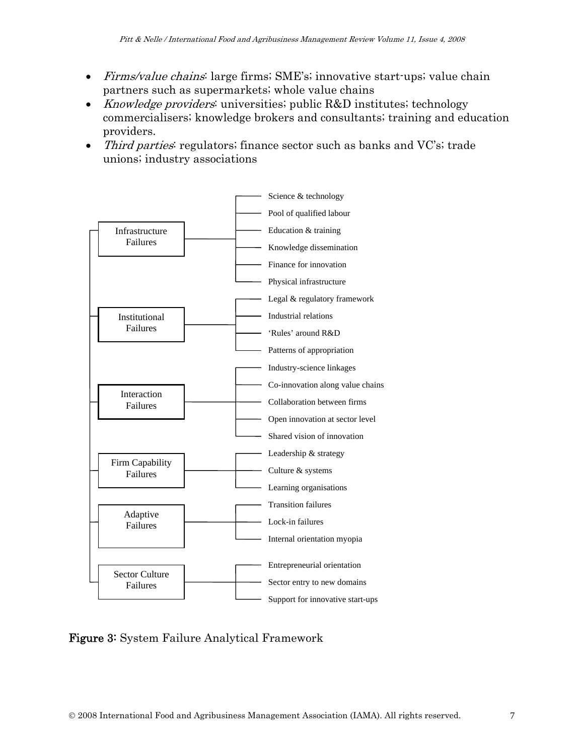- Firms/value chains: large firms; SME's; innovative start-ups; value chain partners such as supermarkets; whole value chains
- *Knowledge providers*: universities; public R&D institutes; technology commercialisers; knowledge brokers and consultants; training and education providers.
- *Third parties* regulators; finance sector such as banks and VC's; trade unions; industry associations



#### Figure 3: System Failure Analytical Framework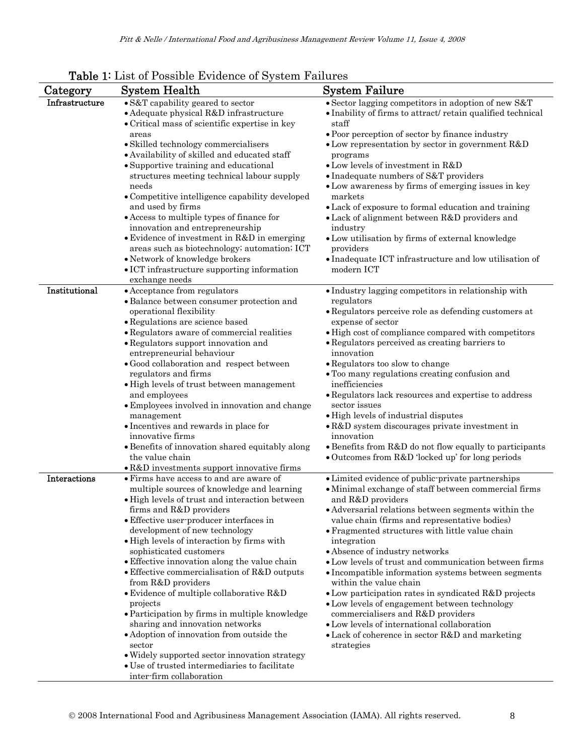|                | Table 1. List of Possible Evidence of System Failures                                                                                                                                                                                                                                                                                                                                                                                                                                                                                                                                                                                                                                                                                                       |                                                                                                                                                                                                                                                                                                                                                                                                                                                                                                                                                                                                                                                                                                                                                    |
|----------------|-------------------------------------------------------------------------------------------------------------------------------------------------------------------------------------------------------------------------------------------------------------------------------------------------------------------------------------------------------------------------------------------------------------------------------------------------------------------------------------------------------------------------------------------------------------------------------------------------------------------------------------------------------------------------------------------------------------------------------------------------------------|----------------------------------------------------------------------------------------------------------------------------------------------------------------------------------------------------------------------------------------------------------------------------------------------------------------------------------------------------------------------------------------------------------------------------------------------------------------------------------------------------------------------------------------------------------------------------------------------------------------------------------------------------------------------------------------------------------------------------------------------------|
| Category       | <b>System Health</b>                                                                                                                                                                                                                                                                                                                                                                                                                                                                                                                                                                                                                                                                                                                                        | <b>System Failure</b>                                                                                                                                                                                                                                                                                                                                                                                                                                                                                                                                                                                                                                                                                                                              |
| Infrastructure | • S&T capability geared to sector<br>• Adequate physical R&D infrastructure<br>• Critical mass of scientific expertise in key<br>areas<br>· Skilled technology commercialisers<br>• Availability of skilled and educated staff<br>• Supportive training and educational<br>structures meeting technical labour supply<br>needs<br>• Competitive intelligence capability developed<br>and used by firms<br>• Access to multiple types of finance for<br>innovation and entrepreneurship<br>• Evidence of investment in R&D in emerging<br>areas such as biotechnology; automation; ICT<br>• Network of knowledge brokers<br>• ICT infrastructure supporting information<br>exchange needs                                                                    | • Sector lagging competitors in adoption of new S&T<br>• Inability of firms to attract/retain qualified technical<br>staff<br>• Poor perception of sector by finance industry<br>$\bullet$ Low representation by sector in government R&D<br>programs<br>$\bullet$ Low levels of investment in R&D<br>• Inadequate numbers of S&T providers<br>• Low awareness by firms of emerging issues in key<br>markets<br>• Lack of exposure to formal education and training<br>• Lack of alignment between R&D providers and<br>industry<br>• Low utilisation by firms of external knowledge<br>providers<br>• Inadequate ICT infrastructure and low utilisation of<br>modern ICT                                                                          |
| Institutional  | • Acceptance from regulators<br>· Balance between consumer protection and<br>operational flexibility<br>· Regulations are science based<br>• Regulators aware of commercial realities<br>• Regulators support innovation and<br>entrepreneurial behaviour<br>· Good collaboration and respect between<br>regulators and firms<br>• High levels of trust between management<br>and employees<br>• Employees involved in innovation and change<br>management<br>• Incentives and rewards in place for<br>innovative firms<br>· Benefits of innovation shared equitably along<br>the value chain<br>• R&D investments support innovative firms                                                                                                                 | · Industry lagging competitors in relationship with<br>regulators<br>• Regulators perceive role as defending customers at<br>expense of sector<br>• High cost of compliance compared with competitors<br>• Regulators perceived as creating barriers to<br>innovation<br>• Regulators too slow to change<br>• Too many regulations creating confusion and<br>inefficiencies<br>• Regulators lack resources and expertise to address<br>sector issues<br>• High levels of industrial disputes<br>• R&D system discourages private investment in<br>innovation<br>• Benefits from R&D do not flow equally to participants<br>• Outcomes from R&D 'locked up' for long periods                                                                        |
| Interactions   | • Firms have access to and are aware of<br>multiple sources of knowledge and learning<br>• High levels of trust and interaction between<br>firms and R&D providers<br>• Effective user-producer interfaces in<br>development of new technology<br>· High levels of interaction by firms with<br>sophisticated customers<br>• Effective innovation along the value chain<br>• Effective commercialisation of R&D outputs<br>from R&D providers<br>$\bullet$ Evidence of multiple collaborative R&D<br>projects<br>• Participation by firms in multiple knowledge<br>sharing and innovation networks<br>• Adoption of innovation from outside the<br>sector<br>. Widely supported sector innovation strategy<br>• Use of trusted intermediaries to facilitate | • Limited evidence of public-private partnerships<br>· Minimal exchange of staff between commercial firms<br>and R&D providers<br>• Adversarial relations between segments within the<br>value chain (firms and representative bodies)<br>• Fragmented structures with little value chain<br>integration<br>• Absence of industry networks<br>• Low levels of trust and communication between firms<br>• Incompatible information systems between segments<br>within the value chain<br>• Low participation rates in syndicated R&D projects<br>• Low levels of engagement between technology<br>commercialisers and R&D providers<br>• Low levels of international collaboration<br>• Lack of coherence in sector R&D and marketing<br>strategies |

|  | Table 1: List of Possible Evidence of System Failures |  |  |  |  |
|--|-------------------------------------------------------|--|--|--|--|
|--|-------------------------------------------------------|--|--|--|--|

inter-firm collaboration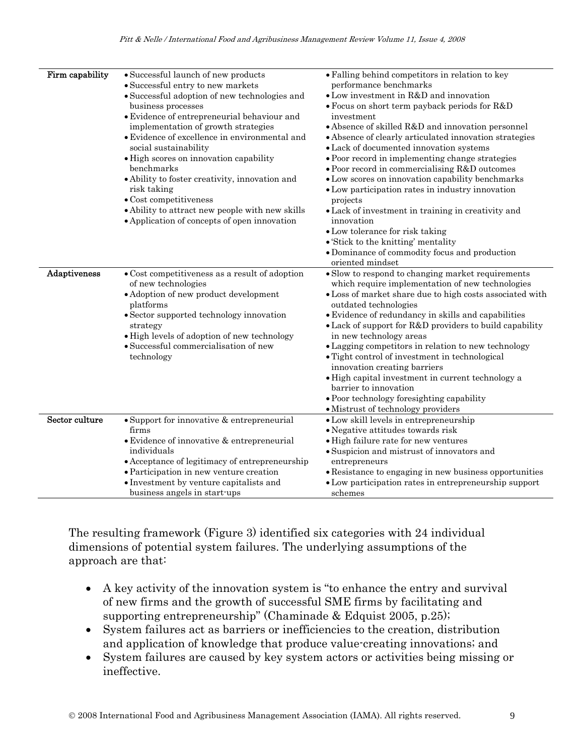| Firm capability | • Successful launch of new products<br>· Successful entry to new markets                        | • Falling behind competitors in relation to key<br>performance benchmarks                             |
|-----------------|-------------------------------------------------------------------------------------------------|-------------------------------------------------------------------------------------------------------|
|                 | · Successful adoption of new technologies and                                                   | • Low investment in R&D and innovation                                                                |
|                 | business processes                                                                              | • Focus on short term payback periods for R&D                                                         |
|                 | • Evidence of entrepreneurial behaviour and                                                     | investment                                                                                            |
|                 | implementation of growth strategies                                                             | • Absence of skilled R&D and innovation personnel                                                     |
|                 | • Evidence of excellence in environmental and                                                   | • Absence of clearly articulated innovation strategies                                                |
|                 | social sustainability                                                                           | • Lack of documented innovation systems                                                               |
|                 |                                                                                                 |                                                                                                       |
|                 | · High scores on innovation capability                                                          | • Poor record in implementing change strategies                                                       |
|                 | benchmarks                                                                                      | • Poor record in commercialising R&D outcomes                                                         |
|                 | • Ability to foster creativity, innovation and                                                  | • Low scores on innovation capability benchmarks                                                      |
|                 | risk taking<br>$\bullet$ Cost competitiveness                                                   | • Low participation rates in industry innovation                                                      |
|                 |                                                                                                 | projects                                                                                              |
|                 | • Ability to attract new people with new skills<br>• Application of concepts of open innovation | • Lack of investment in training in creativity and<br>innovation                                      |
|                 |                                                                                                 | • Low tolerance for risk taking                                                                       |
|                 |                                                                                                 | • 'Stick to the knitting' mentality                                                                   |
|                 |                                                                                                 | • Dominance of commodity focus and production                                                         |
|                 |                                                                                                 | oriented mindset                                                                                      |
| Adaptiveness    | $\bullet$ Cost competitiveness as a result of adoption<br>of new technologies                   | • Slow to respond to changing market requirements<br>which require implementation of new technologies |
|                 | • Adoption of new product development                                                           | · Loss of market share due to high costs associated with                                              |
|                 | platforms                                                                                       | outdated technologies                                                                                 |
|                 | • Sector supported technology innovation                                                        | • Evidence of redundancy in skills and capabilities                                                   |
|                 | strategy                                                                                        | • Lack of support for R&D providers to build capability                                               |
|                 | • High levels of adoption of new technology                                                     | in new technology areas                                                                               |
|                 | · Successful commercialisation of new                                                           | • Lagging competitors in relation to new technology                                                   |
|                 | technology                                                                                      | • Tight control of investment in technological                                                        |
|                 |                                                                                                 | innovation creating barriers                                                                          |
|                 |                                                                                                 | • High capital investment in current technology a                                                     |
|                 |                                                                                                 | barrier to innovation                                                                                 |
|                 |                                                                                                 | • Poor technology foresighting capability                                                             |
|                 |                                                                                                 | • Mistrust of technology providers                                                                    |
| Sector culture  | • Support for innovative & entrepreneurial                                                      | · Low skill levels in entrepreneurship                                                                |
|                 | firms                                                                                           | · Negative attitudes towards risk                                                                     |
|                 | · Evidence of innovative & entrepreneurial                                                      | · High failure rate for new ventures                                                                  |
|                 | individuals                                                                                     | · Suspicion and mistrust of innovators and                                                            |
|                 | • Acceptance of legitimacy of entrepreneurship                                                  | entrepreneurs                                                                                         |
|                 | • Participation in new venture creation                                                         | • Resistance to engaging in new business opportunities                                                |
|                 | • Investment by venture capitalists and<br>business angels in start-ups                         | • Low participation rates in entrepreneurship support<br>schemes                                      |

The resulting framework (Figure 3) identified six categories with 24 individual dimensions of potential system failures. The underlying assumptions of the approach are that:

- A key activity of the innovation system is "to enhance the entry and survival of new firms and the growth of successful SME firms by facilitating and supporting entrepreneurship" (Chaminade & Edquist 2005, p.25);
- System failures act as barriers or inefficiencies to the creation, distribution and application of knowledge that produce value-creating innovations; and
- System failures are caused by key system actors or activities being missing or ineffective.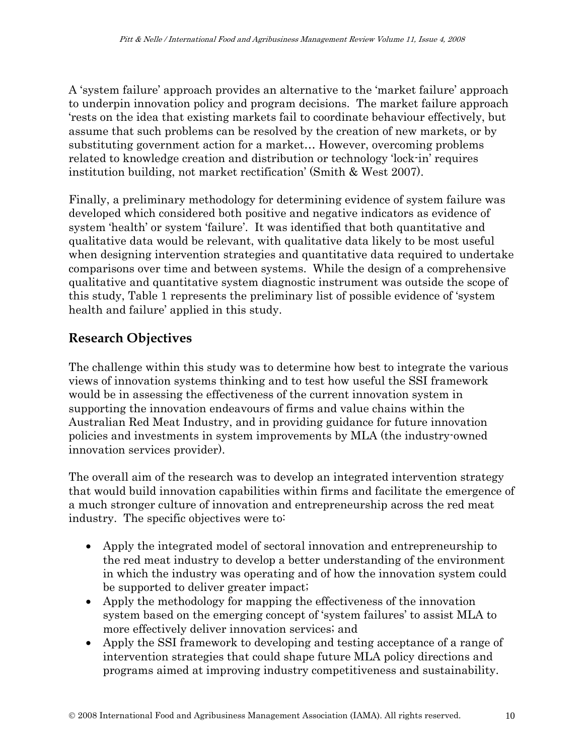A 'system failure' approach provides an alternative to the 'market failure' approach to underpin innovation policy and program decisions. The market failure approach 'rests on the idea that existing markets fail to coordinate behaviour effectively, but assume that such problems can be resolved by the creation of new markets, or by substituting government action for a market… However, overcoming problems related to knowledge creation and distribution or technology 'lock-in' requires institution building, not market rectification' (Smith & West 2007).

Finally, a preliminary methodology for determining evidence of system failure was developed which considered both positive and negative indicators as evidence of system 'health' or system 'failure'. It was identified that both quantitative and qualitative data would be relevant, with qualitative data likely to be most useful when designing intervention strategies and quantitative data required to undertake comparisons over time and between systems. While the design of a comprehensive qualitative and quantitative system diagnostic instrument was outside the scope of this study, Table 1 represents the preliminary list of possible evidence of 'system health and failure' applied in this study.

### **Research Objectives**

The challenge within this study was to determine how best to integrate the various views of innovation systems thinking and to test how useful the SSI framework would be in assessing the effectiveness of the current innovation system in supporting the innovation endeavours of firms and value chains within the Australian Red Meat Industry, and in providing guidance for future innovation policies and investments in system improvements by MLA (the industry-owned innovation services provider).

The overall aim of the research was to develop an integrated intervention strategy that would build innovation capabilities within firms and facilitate the emergence of a much stronger culture of innovation and entrepreneurship across the red meat industry. The specific objectives were to:

- Apply the integrated model of sectoral innovation and entrepreneurship to the red meat industry to develop a better understanding of the environment in which the industry was operating and of how the innovation system could be supported to deliver greater impact;
- Apply the methodology for mapping the effectiveness of the innovation system based on the emerging concept of 'system failures' to assist MLA to more effectively deliver innovation services; and
- Apply the SSI framework to developing and testing acceptance of a range of intervention strategies that could shape future MLA policy directions and programs aimed at improving industry competitiveness and sustainability.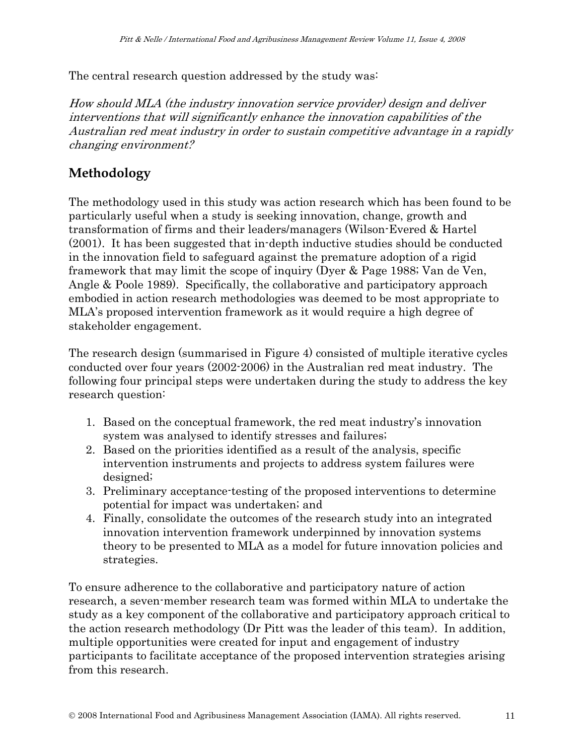The central research question addressed by the study was:

How should MLA (the industry innovation service provider) design and deliver interventions that will significantly enhance the innovation capabilities of the Australian red meat industry in order to sustain competitive advantage in a rapidly changing environment?

## **Methodology**

The methodology used in this study was action research which has been found to be particularly useful when a study is seeking innovation, change, growth and transformation of firms and their leaders/managers (Wilson-Evered & Hartel (2001). It has been suggested that in-depth inductive studies should be conducted in the innovation field to safeguard against the premature adoption of a rigid framework that may limit the scope of inquiry (Dyer & Page 1988; Van de Ven, Angle & Poole 1989). Specifically, the collaborative and participatory approach embodied in action research methodologies was deemed to be most appropriate to MLA's proposed intervention framework as it would require a high degree of stakeholder engagement.

The research design (summarised in Figure 4) consisted of multiple iterative cycles conducted over four years (2002-2006) in the Australian red meat industry. The following four principal steps were undertaken during the study to address the key research question:

- 1. Based on the conceptual framework, the red meat industry's innovation system was analysed to identify stresses and failures;
- 2. Based on the priorities identified as a result of the analysis, specific intervention instruments and projects to address system failures were designed;
- 3. Preliminary acceptance-testing of the proposed interventions to determine potential for impact was undertaken; and
- 4. Finally, consolidate the outcomes of the research study into an integrated innovation intervention framework underpinned by innovation systems theory to be presented to MLA as a model for future innovation policies and strategies.

To ensure adherence to the collaborative and participatory nature of action research, a seven-member research team was formed within MLA to undertake the study as a key component of the collaborative and participatory approach critical to the action research methodology (Dr Pitt was the leader of this team). In addition, multiple opportunities were created for input and engagement of industry participants to facilitate acceptance of the proposed intervention strategies arising from this research.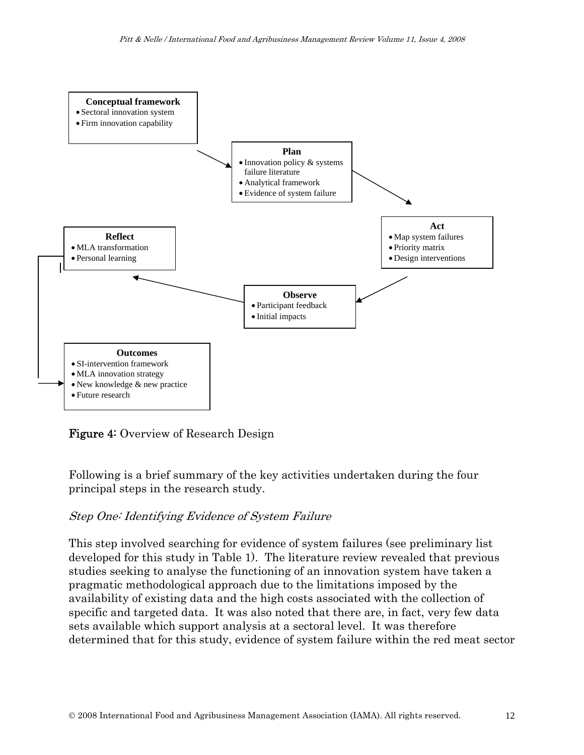

Figure 4: Overview of Research Design

Following is a brief summary of the key activities undertaken during the four principal steps in the research study.

#### Step One: Identifying Evidence of System Failure

This step involved searching for evidence of system failures (see preliminary list developed for this study in Table 1). The literature review revealed that previous studies seeking to analyse the functioning of an innovation system have taken a pragmatic methodological approach due to the limitations imposed by the availability of existing data and the high costs associated with the collection of specific and targeted data. It was also noted that there are, in fact, very few data sets available which support analysis at a sectoral level. It was therefore determined that for this study, evidence of system failure within the red meat sector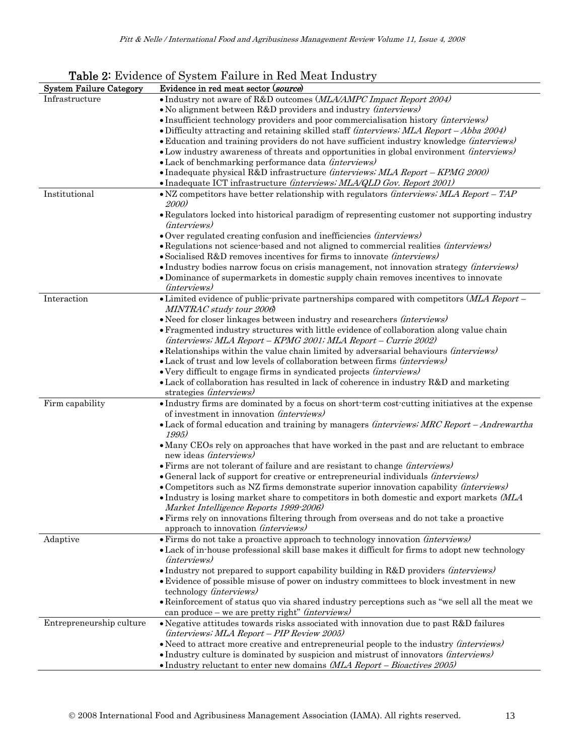|                                | <b>Table 2.</b> Evidence of System Failure in Red Meat Industry                                                                                            |
|--------------------------------|------------------------------------------------------------------------------------------------------------------------------------------------------------|
| <b>System Failure Category</b> | Evidence in red meat sector (source)                                                                                                                       |
| Infrastructure                 | • Industry not aware of R&D outcomes (MLA/AMPC Impact Report 2004)                                                                                         |
|                                | • No alignment between R&D providers and industry <i>(interviews)</i>                                                                                      |
|                                | • Insufficient technology providers and poor commercialisation history (interviews)                                                                        |
|                                | • Difficulty attracting and retaining skilled staff <i>(interviews; MLA Report – Abba 2004)</i>                                                            |
|                                | • Education and training providers do not have sufficient industry knowledge <i>(interviews)</i>                                                           |
|                                | • Low industry awareness of threats and opportunities in global environment <i>(interviews)</i>                                                            |
|                                | • Lack of benchmarking performance data <i>(interviews)</i>                                                                                                |
|                                | • Inadequate physical R&D infrastructure <i>(interviews; MLA Report – KPMG 2000)</i>                                                                       |
|                                | • Inadequate ICT infrastructure (interviews; MLA/QLD Gov. Report 2001)                                                                                     |
| Institutional                  | • NZ competitors have better relationship with regulators <i>(interviews; MLA Report – TAP</i> )<br>2000)                                                  |
|                                | • Regulators locked into historical paradigm of representing customer not supporting industry<br>( <i>interviews</i> )                                     |
|                                | • Over regulated creating confusion and inefficiencies (interviews)                                                                                        |
|                                | • Regulations not science based and not aligned to commercial realities (interviews)                                                                       |
|                                | • Socialised R&D removes incentives for firms to innovate <i>(interviews)</i>                                                                              |
|                                | • Industry bodies narrow focus on crisis management, not innovation strategy (interviews)                                                                  |
|                                | • Dominance of supermarkets in domestic supply chain removes incentives to innovate                                                                        |
|                                | ( <i>interviews</i> )                                                                                                                                      |
| Interaction                    | • Limited evidence of public private partnerships compared with competitors (MLA Report -<br>MINTRAC study tour 2006)                                      |
|                                | • Need for closer linkages between industry and researchers (interviews)                                                                                   |
|                                | · Fragmented industry structures with little evidence of collaboration along value chain<br>(interviews; MLA Report – KPMG 2001; MLA Report – Currie 2002) |
|                                | • Relationships within the value chain limited by adversarial behaviours <i>(interviews)</i>                                                               |
|                                | • Lack of trust and low levels of collaboration between firms <i>(interviews)</i>                                                                          |
|                                | • Very difficult to engage firms in syndicated projects <i>(interviews)</i>                                                                                |
|                                | • Lack of collaboration has resulted in lack of coherence in industry R&D and marketing<br>strategies (interviews)                                         |
| Firm capability                | • Industry firms are dominated by a focus on short-term cost-cutting initiatives at the expense<br>of investment in innovation (interviews)                |
|                                | • Lack of formal education and training by managers (interviews: MRC Report - Andrewartha<br>1995)                                                         |
|                                | • Many CEOs rely on approaches that have worked in the past and are reluctant to embrace<br>new ideas (interviews)                                         |
|                                | • Firms are not tolerant of failure and are resistant to change <i>(interviews)</i>                                                                        |
|                                | • General lack of support for creative or entrepreneurial individuals <i>(interviews)</i>                                                                  |
|                                | • Competitors such as NZ firms demonstrate superior innovation capability (interviews)                                                                     |
|                                | • Industry is losing market share to competitors in both domestic and export markets (MLA<br>Market Intelligence Reports 1999-2006)                        |
|                                | • Firms rely on innovations filtering through from overseas and do not take a proactive                                                                    |
|                                | approach to innovation <i>(interviews)</i>                                                                                                                 |
| Adaptive                       | • Firms do not take a proactive approach to technology innovation (interviews)                                                                             |
|                                | • Lack of in-house professional skill base makes it difficult for firms to adopt new technology<br>( <i>interviews</i> )                                   |
|                                | • Industry not prepared to support capability building in R&D providers <i>(interviews)</i>                                                                |
|                                | • Evidence of possible misuse of power on industry committees to block investment in new                                                                   |
|                                | technology (interviews)                                                                                                                                    |
|                                | • Reinforcement of status quo via shared industry perceptions such as "we sell all the meat we<br>can produce – we are pretty right" (interviews)          |
| Entrepreneurship culture       | • Negative attitudes towards risks associated with innovation due to past R&D failures                                                                     |
|                                | (interviews; MLA Report - PIP Review 2005)                                                                                                                 |
|                                | • Need to attract more creative and entrepreneurial people to the industry <i>(interviews)</i>                                                             |
|                                | · Industry culture is dominated by suspicion and mistrust of innovators (interviews)                                                                       |
|                                | • Industry reluctant to enter new domains (MLA Report - Bioactives 2005)                                                                                   |

#### Table 2: Evidence of System Failure in Red Meat Industry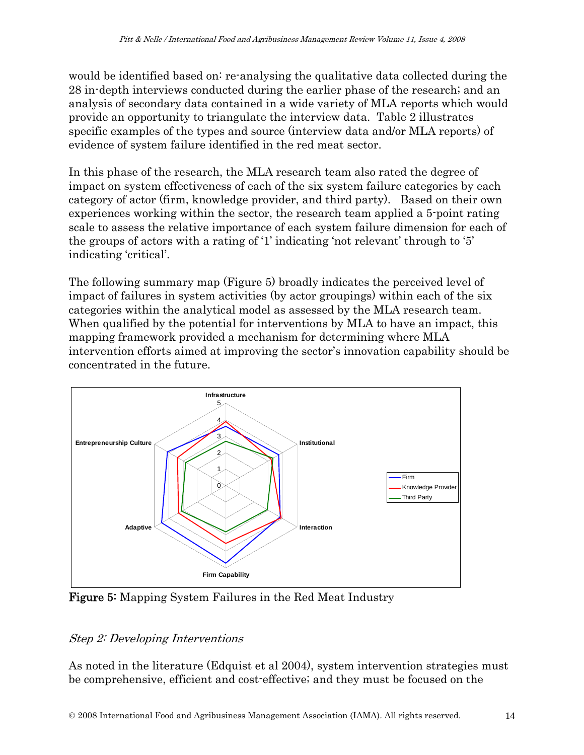would be identified based on: re-analysing the qualitative data collected during the 28 in-depth interviews conducted during the earlier phase of the research; and an analysis of secondary data contained in a wide variety of MLA reports which would provide an opportunity to triangulate the interview data. Table 2 illustrates specific examples of the types and source (interview data and/or MLA reports) of evidence of system failure identified in the red meat sector.

In this phase of the research, the MLA research team also rated the degree of impact on system effectiveness of each of the six system failure categories by each category of actor (firm, knowledge provider, and third party). Based on their own experiences working within the sector, the research team applied a 5-point rating scale to assess the relative importance of each system failure dimension for each of the groups of actors with a rating of '1' indicating 'not relevant' through to '5' indicating 'critical'.

The following summary map (Figure 5) broadly indicates the perceived level of impact of failures in system activities (by actor groupings) within each of the six categories within the analytical model as assessed by the MLA research team. When qualified by the potential for interventions by MLA to have an impact, this mapping framework provided a mechanism for determining where MLA intervention efforts aimed at improving the sector's innovation capability should be concentrated in the future.



Figure 5: Mapping System Failures in the Red Meat Industry

### Step 2: Developing Interventions

As noted in the literature (Edquist et al 2004), system intervention strategies must be comprehensive, efficient and cost-effective; and they must be focused on the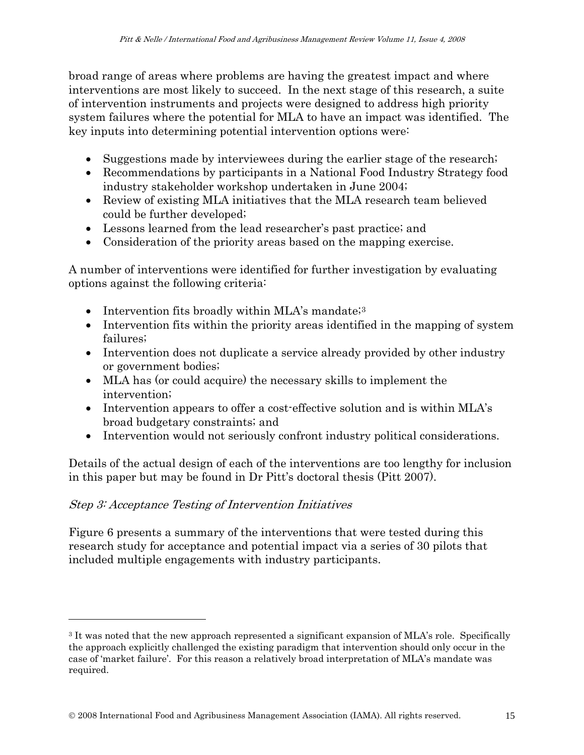broad range of areas where problems are having the greatest impact and where interventions are most likely to succeed. In the next stage of this research, a suite of intervention instruments and projects were designed to address high priority system failures where the potential for MLA to have an impact was identified. The key inputs into determining potential intervention options were:

- Suggestions made by interviewees during the earlier stage of the research;
- Recommendations by participants in a National Food Industry Strategy food industry stakeholder workshop undertaken in June 2004;
- Review of existing MLA initiatives that the MLA research team believed could be further developed;
- Lessons learned from the lead researcher's past practice; and
- Consideration of the priority areas based on the mapping exercise.

A number of interventions were identified for further investigation by evaluating options against the following criteria:

- Intervention fits broadly within MLA's mandate; $3$
- Intervention fits within the priority areas identified in the mapping of system failures;
- Intervention does not duplicate a service already provided by other industry or government bodies;
- MLA has (or could acquire) the necessary skills to implement the intervention;
- Intervention appears to offer a cost-effective solution and is within MLA's broad budgetary constraints; and
- Intervention would not seriously confront industry political considerations.

Details of the actual design of each of the interventions are too lengthy for inclusion in this paper but may be found in Dr Pitt's doctoral thesis (Pitt 2007).

### Step 3: Acceptance Testing of Intervention Initiatives

 $\overline{\phantom{a}}$ 

Figure 6 presents a summary of the interventions that were tested during this research study for acceptance and potential impact via a series of 30 pilots that included multiple engagements with industry participants.

<span id="page-14-0"></span><sup>3</sup> It was noted that the new approach represented a significant expansion of MLA's role. Specifically the approach explicitly challenged the existing paradigm that intervention should only occur in the case of 'market failure'. For this reason a relatively broad interpretation of MLA's mandate was required.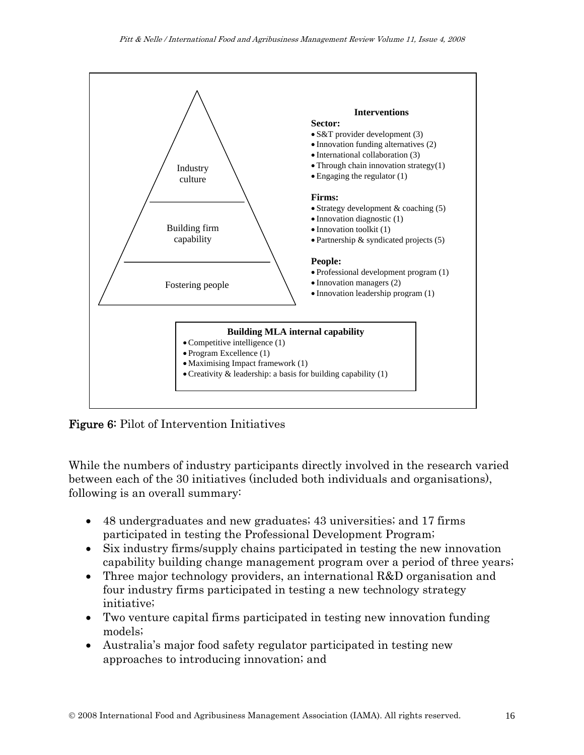

Figure 6: Pilot of Intervention Initiatives

While the numbers of industry participants directly involved in the research varied between each of the 30 initiatives (included both individuals and organisations), following is an overall summary:

- 48 undergraduates and new graduates; 43 universities; and 17 firms participated in testing the Professional Development Program;
- Six industry firms/supply chains participated in testing the new innovation capability building change management program over a period of three years;
- Three major technology providers, an international R&D organisation and four industry firms participated in testing a new technology strategy initiative;
- Two venture capital firms participated in testing new innovation funding models;
- Australia's major food safety regulator participated in testing new approaches to introducing innovation; and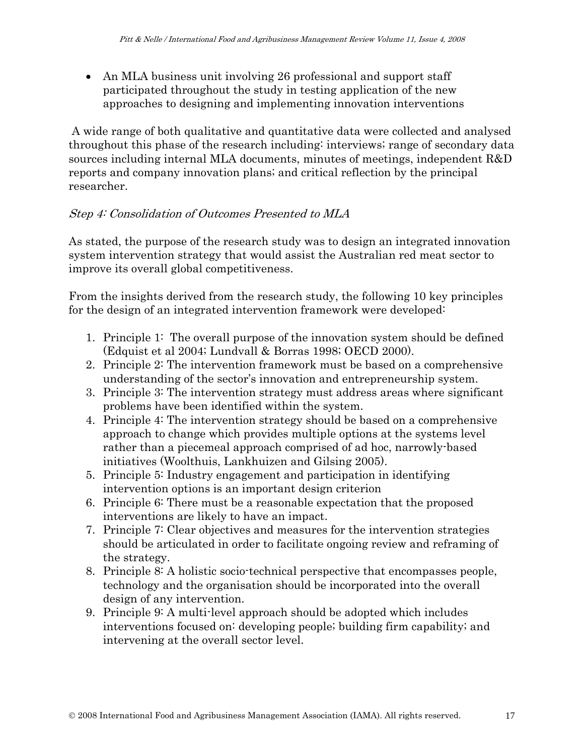• An MLA business unit involving 26 professional and support staff participated throughout the study in testing application of the new approaches to designing and implementing innovation interventions

 A wide range of both qualitative and quantitative data were collected and analysed throughout this phase of the research including: interviews; range of secondary data sources including internal MLA documents, minutes of meetings, independent R&D reports and company innovation plans; and critical reflection by the principal researcher.

#### Step 4: Consolidation of Outcomes Presented to MLA

As stated, the purpose of the research study was to design an integrated innovation system intervention strategy that would assist the Australian red meat sector to improve its overall global competitiveness.

From the insights derived from the research study, the following 10 key principles for the design of an integrated intervention framework were developed:

- 1. Principle 1: The overall purpose of the innovation system should be defined (Edquist et al 2004; Lundvall & Borras 1998; OECD 2000).
- 2. Principle 2: The intervention framework must be based on a comprehensive understanding of the sector's innovation and entrepreneurship system.
- 3. Principle 3: The intervention strategy must address areas where significant problems have been identified within the system.
- 4. Principle 4: The intervention strategy should be based on a comprehensive approach to change which provides multiple options at the systems level rather than a piecemeal approach comprised of ad hoc, narrowly-based initiatives (Woolthuis, Lankhuizen and Gilsing 2005).
- 5. Principle 5: Industry engagement and participation in identifying intervention options is an important design criterion
- 6. Principle 6: There must be a reasonable expectation that the proposed interventions are likely to have an impact.
- 7. Principle 7: Clear objectives and measures for the intervention strategies should be articulated in order to facilitate ongoing review and reframing of the strategy.
- 8. Principle 8: A holistic socio-technical perspective that encompasses people, technology and the organisation should be incorporated into the overall design of any intervention.
- 9. Principle 9: A multi-level approach should be adopted which includes interventions focused on: developing people; building firm capability; and intervening at the overall sector level.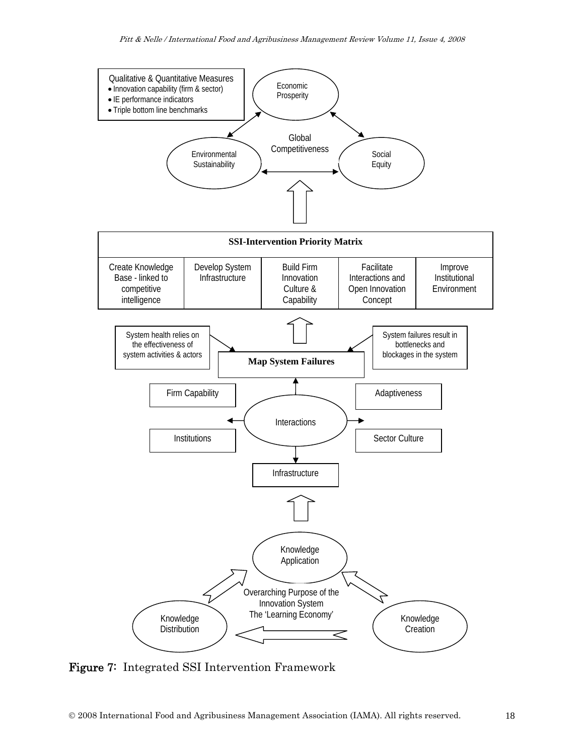

Figure 7: Integrated SSI Intervention Framework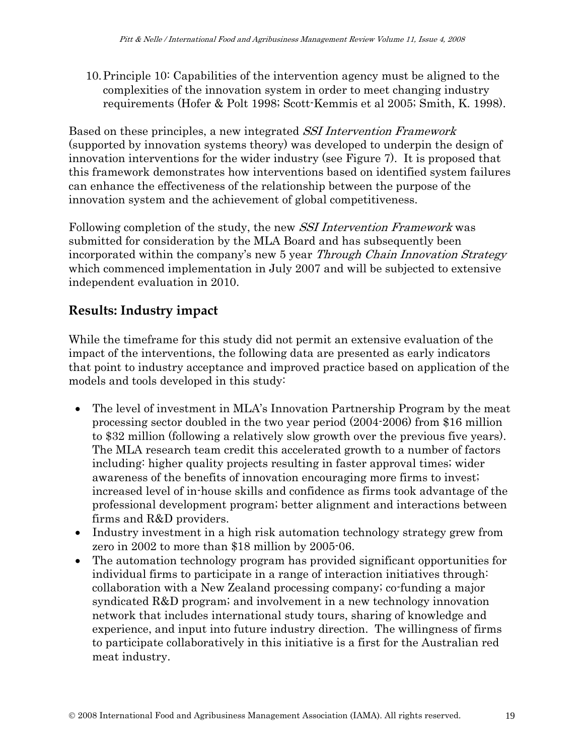10.Principle 10: Capabilities of the intervention agency must be aligned to the complexities of the innovation system in order to meet changing industry requirements (Hofer & Polt 1998; Scott-Kemmis et al 2005; Smith, K. 1998).

Based on these principles, a new integrated SSI Intervention Framework (supported by innovation systems theory) was developed to underpin the design of innovation interventions for the wider industry (see Figure 7). It is proposed that this framework demonstrates how interventions based on identified system failures can enhance the effectiveness of the relationship between the purpose of the innovation system and the achievement of global competitiveness.

Following completion of the study, the new *SSI Intervention Framework* was submitted for consideration by the MLA Board and has subsequently been incorporated within the company's new 5 year *Through Chain Innovation Strategy* which commenced implementation in July 2007 and will be subjected to extensive independent evaluation in 2010.

## **Results: Industry impact**

While the timeframe for this study did not permit an extensive evaluation of the impact of the interventions, the following data are presented as early indicators that point to industry acceptance and improved practice based on application of the models and tools developed in this study:

- The level of investment in MLA's Innovation Partnership Program by the meat processing sector doubled in the two year period (2004-2006) from \$16 million to \$32 million (following a relatively slow growth over the previous five years). The MLA research team credit this accelerated growth to a number of factors including: higher quality projects resulting in faster approval times; wider awareness of the benefits of innovation encouraging more firms to invest; increased level of in-house skills and confidence as firms took advantage of the professional development program; better alignment and interactions between firms and R&D providers.
- Industry investment in a high risk automation technology strategy grew from zero in 2002 to more than \$18 million by 2005-06.
- The automation technology program has provided significant opportunities for individual firms to participate in a range of interaction initiatives through: collaboration with a New Zealand processing company; co-funding a major syndicated R&D program; and involvement in a new technology innovation network that includes international study tours, sharing of knowledge and experience, and input into future industry direction. The willingness of firms to participate collaboratively in this initiative is a first for the Australian red meat industry.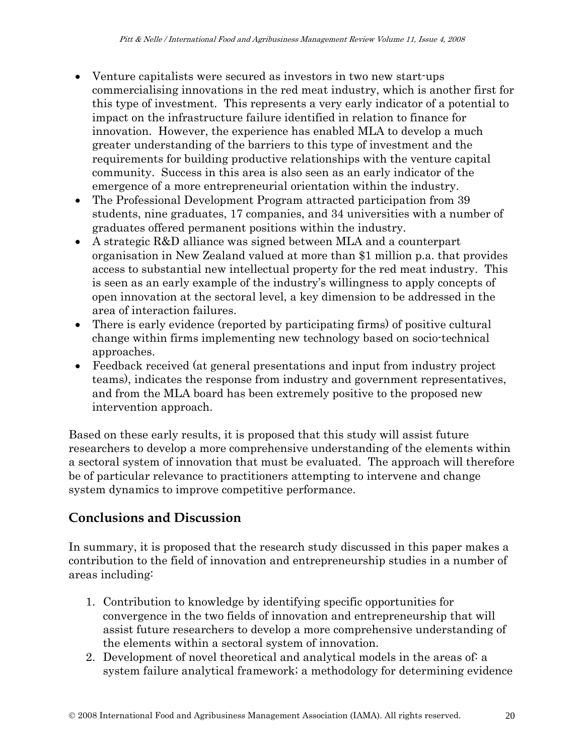- Venture capitalists were secured as investors in two new start-ups commercialising innovations in the red meat industry, which is another first for this type of investment. This represents a very early indicator of a potential to impact on the infrastructure failure identified in relation to finance for innovation. However, the experience has enabled MLA to develop a much greater understanding of the barriers to this type of investment and the requirements for building productive relationships with the venture capital community. Success in this area is also seen as an early indicator of the emergence of a more entrepreneurial orientation within the industry.
- The Professional Development Program attracted participation from 39 students, nine graduates, 17 companies, and 34 universities with a number of graduates offered permanent positions within the industry.
- A strategic R&D alliance was signed between MLA and a counterpart organisation in New Zealand valued at more than \$1 million p.a. that provides access to substantial new intellectual property for the red meat industry. This is seen as an early example of the industry's willingness to apply concepts of open innovation at the sectoral level, a key dimension to be addressed in the area of interaction failures.
- There is early evidence (reported by participating firms) of positive cultural change within firms implementing new technology based on socio-technical approaches.
- Feedback received (at general presentations and input from industry project teams), indicates the response from industry and government representatives, and from the MLA board has been extremely positive to the proposed new intervention approach.

Based on these early results, it is proposed that this study will assist future researchers to develop a more comprehensive understanding of the elements within a sectoral system of innovation that must be evaluated. The approach will therefore be of particular relevance to practitioners attempting to intervene and change system dynamics to improve competitive performance.

### **Conclusions and Discussion**

In summary, it is proposed that the research study discussed in this paper makes a contribution to the field of innovation and entrepreneurship studies in a number of areas including:

- 1. Contribution to knowledge by identifying specific opportunities for convergence in the two fields of innovation and entrepreneurship that will assist future researchers to develop a more comprehensive understanding of the elements within a sectoral system of innovation.
- 2. Development of novel theoretical and analytical models in the areas of: a system failure analytical framework; a methodology for determining evidence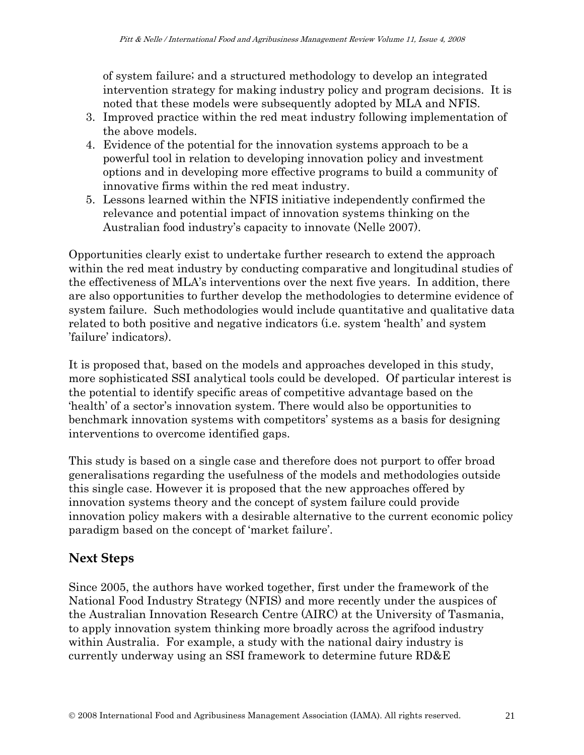of system failure; and a structured methodology to develop an integrated intervention strategy for making industry policy and program decisions. It is noted that these models were subsequently adopted by MLA and NFIS.

- 3. Improved practice within the red meat industry following implementation of the above models.
- 4. Evidence of the potential for the innovation systems approach to be a powerful tool in relation to developing innovation policy and investment options and in developing more effective programs to build a community of innovative firms within the red meat industry.
- 5. Lessons learned within the NFIS initiative independently confirmed the relevance and potential impact of innovation systems thinking on the Australian food industry's capacity to innovate (Nelle 2007).

Opportunities clearly exist to undertake further research to extend the approach within the red meat industry by conducting comparative and longitudinal studies of the effectiveness of MLA's interventions over the next five years. In addition, there are also opportunities to further develop the methodologies to determine evidence of system failure. Such methodologies would include quantitative and qualitative data related to both positive and negative indicators (i.e. system 'health' and system 'failure' indicators).

It is proposed that, based on the models and approaches developed in this study, more sophisticated SSI analytical tools could be developed. Of particular interest is the potential to identify specific areas of competitive advantage based on the 'health' of a sector's innovation system. There would also be opportunities to benchmark innovation systems with competitors' systems as a basis for designing interventions to overcome identified gaps.

This study is based on a single case and therefore does not purport to offer broad generalisations regarding the usefulness of the models and methodologies outside this single case. However it is proposed that the new approaches offered by innovation systems theory and the concept of system failure could provide innovation policy makers with a desirable alternative to the current economic policy paradigm based on the concept of 'market failure'.

### **Next Steps**

Since 2005, the authors have worked together, first under the framework of the National Food Industry Strategy (NFIS) and more recently under the auspices of the Australian Innovation Research Centre (AIRC) at the University of Tasmania, to apply innovation system thinking more broadly across the agrifood industry within Australia. For example, a study with the national dairy industry is currently underway using an SSI framework to determine future RD&E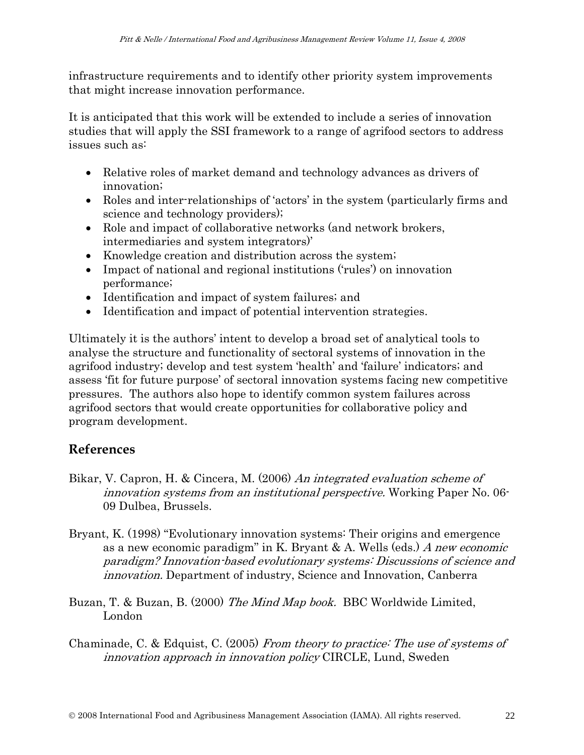infrastructure requirements and to identify other priority system improvements that might increase innovation performance.

It is anticipated that this work will be extended to include a series of innovation studies that will apply the SSI framework to a range of agrifood sectors to address issues such as:

- Relative roles of market demand and technology advances as drivers of innovation;
- Roles and inter-relationships of 'actors' in the system (particularly firms and science and technology providers);
- Role and impact of collaborative networks (and network brokers, intermediaries and system integrators)'
- Knowledge creation and distribution across the system;
- Impact of national and regional institutions ('rules') on innovation performance;
- Identification and impact of system failures; and
- Identification and impact of potential intervention strategies.

Ultimately it is the authors' intent to develop a broad set of analytical tools to analyse the structure and functionality of sectoral systems of innovation in the agrifood industry; develop and test system 'health' and 'failure' indicators; and assess 'fit for future purpose' of sectoral innovation systems facing new competitive pressures. The authors also hope to identify common system failures across agrifood sectors that would create opportunities for collaborative policy and program development.

### **References**

- Bikar, V. Capron, H. & Cincera, M. (2006) An integrated evaluation scheme of innovation systems from an institutional perspective. Working Paper No. 06- 09 Dulbea, Brussels.
- Bryant, K. (1998) "Evolutionary innovation systems: Their origins and emergence as a new economic paradigm" in K. Bryant & A. Wells (eds.) A new economic paradigm? Innovation-based evolutionary systems: Discussions of science and innovation. Department of industry, Science and Innovation, Canberra
- Buzan, T. & Buzan, B. (2000) The Mind Map book. BBC Worldwide Limited, London
- Chaminade, C. & Edquist, C. (2005) From theory to practice: The use of systems of innovation approach in innovation policy CIRCLE, Lund, Sweden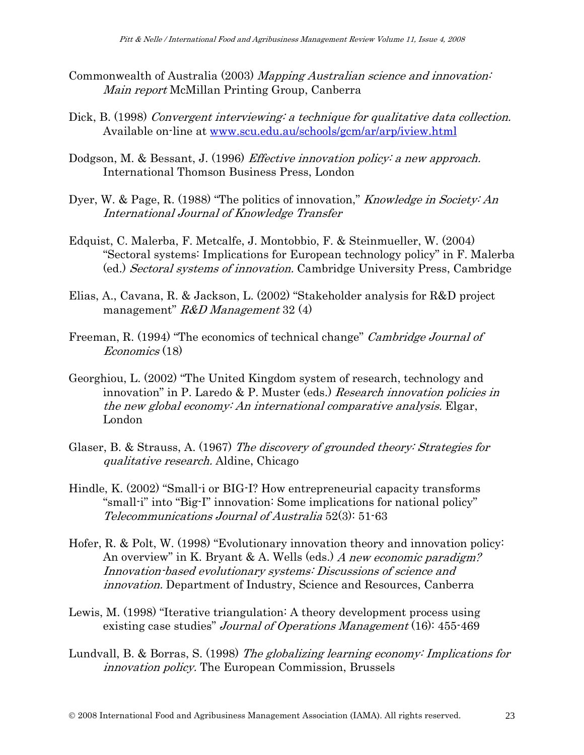- Commonwealth of Australia (2003) Mapping Australian science and innovation: Main report McMillan Printing Group, Canberra
- Dick, B. (1998) Convergent interviewing: a technique for qualitative data collection. Available on-line at [www.scu.edu.au/schools/gcm/ar/arp/iview.html](http://www.scu.edu.au/schools/gcm/ar/arp/iview.html)
- Dodgson, M. & Bessant, J. (1996) *Effective innovation policy: a new approach.* International Thomson Business Press, London
- Dyer, W. & Page, R. (1988) "The politics of innovation," *Knowledge in Society: An* International Journal of Knowledge Transfer
- Edquist, C. Malerba, F. Metcalfe, J. Montobbio, F. & Steinmueller, W. (2004) "Sectoral systems: Implications for European technology policy" in F. Malerba (ed.) Sectoral systems of innovation. Cambridge University Press, Cambridge
- Elias, A., Cavana, R. & Jackson, L. (2002) "Stakeholder analysis for R&D project management"  $R&D$  Management 32 (4)
- Freeman, R. (1994) "The economics of technical change" *Cambridge Journal of* Economics (18)
- Georghiou, L. (2002) "The United Kingdom system of research, technology and innovation" in P. Laredo & P. Muster (eds.) Research innovation policies in the new global economy: An international comparative analysis. Elgar, London
- Glaser, B. & Strauss, A. (1967) The discovery of grounded theory: Strategies for qualitative research. Aldine, Chicago
- Hindle, K. (2002) "Small-i or BIG-I? How entrepreneurial capacity transforms "small-i" into "Big-I" innovation: Some implications for national policy" Telecommunications Journal of Australia 52(3): 51-63
- Hofer, R. & Polt, W. (1998) "Evolutionary innovation theory and innovation policy: An overview" in K. Bryant & A. Wells (eds.) A new economic paradigm? Innovation-based evolutionary systems: Discussions of science and innovation. Department of Industry, Science and Resources, Canberra
- Lewis, M. (1998) "Iterative triangulation: A theory development process using existing case studies" Journal of Operations Management (16): 455-469
- Lundvall, B. & Borras, S. (1998) The globalizing learning economy: Implications for innovation policy. The European Commission, Brussels